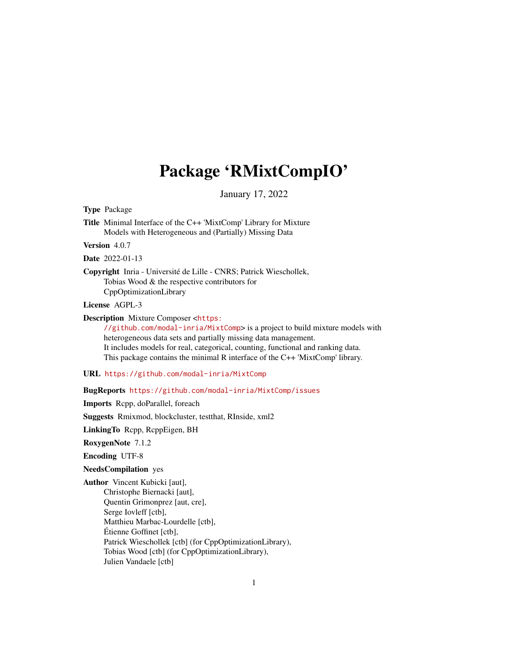## Package 'RMixtCompIO'

January 17, 2022

<span id="page-0-0"></span>Type Package

Title Minimal Interface of the C++ 'MixtComp' Library for Mixture Models with Heterogeneous and (Partially) Missing Data

Version 4.0.7

Date 2022-01-13

Copyright Inria - Université de Lille - CNRS; Patrick Wieschollek, Tobias Wood & the respective contributors for CppOptimizationLibrary

License AGPL-3

Description Mixture Composer <[https:](https://github.com/modal-inria/MixtComp)

[//github.com/modal-inria/MixtComp](https://github.com/modal-inria/MixtComp)> is a project to build mixture models with heterogeneous data sets and partially missing data management. It includes models for real, categorical, counting, functional and ranking data. This package contains the minimal R interface of the C++ 'MixtComp' library.

URL <https://github.com/modal-inria/MixtComp>

BugReports <https://github.com/modal-inria/MixtComp/issues>

Imports Rcpp, doParallel, foreach

Suggests Rmixmod, blockcluster, testthat, RInside, xml2

LinkingTo Rcpp, RcppEigen, BH

RoxygenNote 7.1.2

Encoding UTF-8

NeedsCompilation yes

Author Vincent Kubicki [aut], Christophe Biernacki [aut], Quentin Grimonprez [aut, cre], Serge Iovleff [ctb], Matthieu Marbac-Lourdelle [ctb], Étienne Goffinet [ctb], Patrick Wieschollek [ctb] (for CppOptimizationLibrary), Tobias Wood [ctb] (for CppOptimizationLibrary), Julien Vandaele [ctb]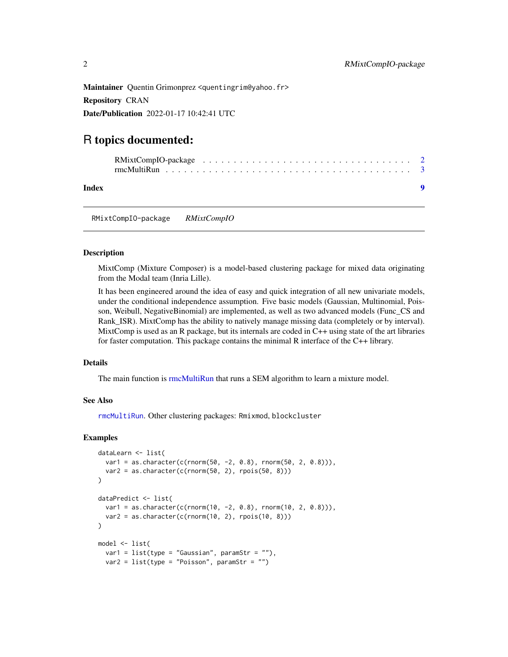<span id="page-1-0"></span>Maintainer Quentin Grimonprez <quentingrim@yahoo.fr> Repository CRAN Date/Publication 2022-01-17 10:42:41 UTC

## R topics documented:

| Index |  |  |  |  |  |  |  |  |  |  |  |  |  |  |  |  |  |
|-------|--|--|--|--|--|--|--|--|--|--|--|--|--|--|--|--|--|

RMixtCompIO-package *RMixtCompIO*

#### Description

MixtComp (Mixture Composer) is a model-based clustering package for mixed data originating from the Modal team (Inria Lille).

It has been engineered around the idea of easy and quick integration of all new univariate models, under the conditional independence assumption. Five basic models (Gaussian, Multinomial, Poisson, Weibull, NegativeBinomial) are implemented, as well as two advanced models (Func\_CS and Rank\_ISR). MixtComp has the ability to natively manage missing data (completely or by interval). MixtComp is used as an R package, but its internals are coded in C++ using state of the art libraries for faster computation. This package contains the minimal R interface of the C++ library.

#### Details

The main function is [rmcMultiRun](#page-2-1) that runs a SEM algorithm to learn a mixture model.

#### See Also

[rmcMultiRun](#page-2-1). Other clustering packages: Rmixmod, blockcluster

#### Examples

```
dataLearn <- list(
  var1 = as.character(c(rnorm(50, -2, 0.8), rnorm(50, 2, 0.8))),
  var2 = as.character(c(rnorm(50, 2), rpois(50, 8)))
)
dataPredict <- list(
  var1 = as.character(c(rnorm(10, -2, 0.8), rnorm(10, 2, 0.8))),
  var2 = as.charAtacter(c(rnorm(10, 2), \text{rpois}(10, 8))))
model <- list(
  var1 = list(type = "Gaussian", paramStr = ""),var2 = list(type = "Poisson", paramStr = "")
```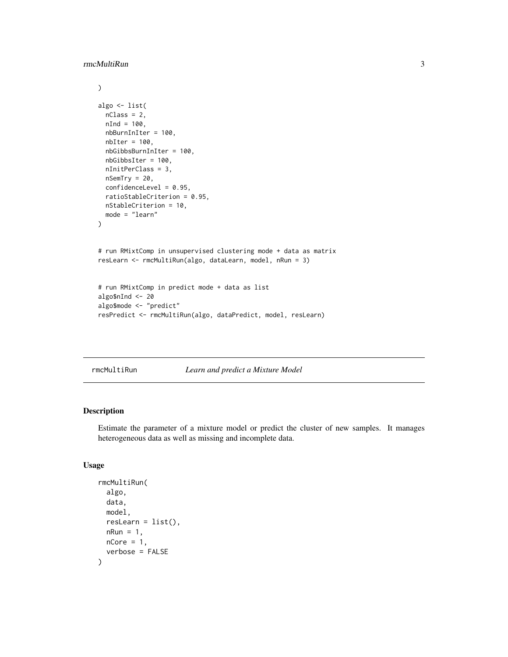#### <span id="page-2-0"></span>rmcMultiRun 3

```
\mathcal{L}algo <- list(
  nClass = 2,
  nInd = 100,nbBurnInIter = 100,
  nbIter = 100,nbGibbsBurnInIter = 100,
  nbGibbsIter = 100,
  nInitPerClass = 3,
  nSemTry = 20,
  confidenceLevel = 0.95,
  ratioStableCriterion = 0.95,
  nStableCriterion = 10,
  mode = "learn"
)
# run RMixtComp in unsupervised clustering mode + data as matrix
resLearn <- rmcMultiRun(algo, dataLearn, model, nRun = 3)
# run RMixtComp in predict mode + data as list
algo$nInd <- 20
algo$mode <- "predict"
resPredict <- rmcMultiRun(algo, dataPredict, model, resLearn)
```
<span id="page-2-1"></span>rmcMultiRun *Learn and predict a Mixture Model*

#### Description

Estimate the parameter of a mixture model or predict the cluster of new samples. It manages heterogeneous data as well as missing and incomplete data.

#### Usage

```
rmcMultiRun(
  algo,
 data,
 model,
 resLearn = list(),nRun = 1,
 nCore = 1,
  verbose = FALSE
)
```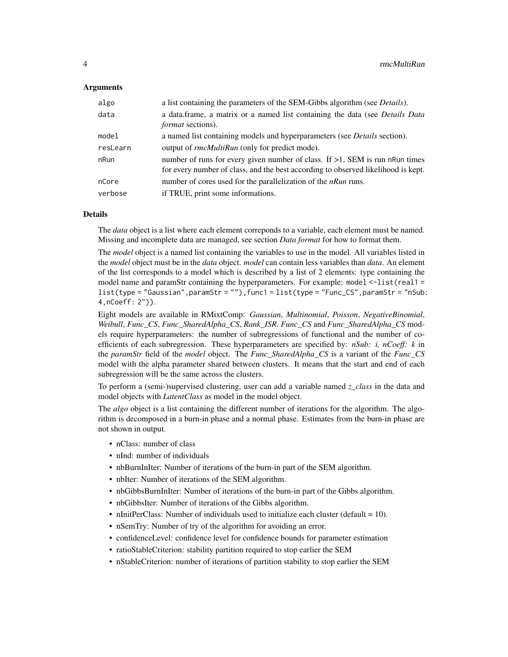#### **Arguments**

| algo     | a list containing the parameters of the SEM-Gibbs algorithm (see <i>Details</i> ).                                                                                   |
|----------|----------------------------------------------------------------------------------------------------------------------------------------------------------------------|
| data     | a data.frame, a matrix or a named list containing the data (see Details Data<br><i>format</i> sections).                                                             |
| model    | a named list containing models and hyperparameters (see <i>Details</i> section).                                                                                     |
| resLearn | output of rmcMultiRun (only for predict mode).                                                                                                                       |
| nRun     | number of runs for every given number of class. If $>1$ , SEM is run nRun times<br>for every number of class, and the best according to observed likelihood is kept. |
| nCore    | number of cores used for the parallelization of the $nRun$ runs.                                                                                                     |
| verbose  | if TRUE, print some informations.                                                                                                                                    |

#### Details

The *data* object is a list where each element correponds to a variable, each element must be named. Missing and incomplete data are managed, see section *Data format* for how to format them.

The *model* object is a named list containing the variables to use in the model. All variables listed in the *model* object must be in the *data* object. *model* can contain less variables than *data*. An element of the list corresponds to a model which is described by a list of 2 elements: type containing the model name and paramStr containing the hyperparameters. For example: model <-list(real1 = list(type = "Gaussian",paramStr = ""),func1 = list(type = "Func\_CS",paramStr = "nSub: 4,nCoeff: 2")).

Eight models are available in RMixtComp: *Gaussian*, *Multinomial*, *Poisson*, *NegativeBinomial*, *Weibull*, *Func\_CS*, *Func\_SharedAlpha\_CS*, *Rank\_ISR*. *Func\_CS* and *Func\_SharedAlpha\_CS* models require hyperparameters: the number of subregressions of functional and the number of coefficients of each subregression. These hyperparameters are specified by: *nSub: i, nCoeff: k* in the *paramStr* field of the *model* object. The *Func\_SharedAlpha\_CS* is a variant of the *Func\_CS* model with the alpha parameter shared between clusters. It means that the start and end of each subregression will be the same across the clusters.

To perform a (semi-)supervised clustering, user can add a variable named *z\_class* in the data and model objects with *LatentClass* as model in the model object.

The *algo* object is a list containing the different number of iterations for the algorithm. The algorithm is decomposed in a burn-in phase and a normal phase. Estimates from the burn-in phase are not shown in output.

- nClass: number of class
- nInd: number of individuals
- nbBurnInIter: Number of iterations of the burn-in part of the SEM algorithm.
- nbIter: Number of iterations of the SEM algorithm.
- nbGibbsBurnInIter: Number of iterations of the burn-in part of the Gibbs algorithm.
- nbGibbsIter: Number of iterations of the Gibbs algorithm.
- nInitPerClass: Number of individuals used to initialize each cluster (default  $= 10$ ).
- nSemTry: Number of try of the algorithm for avoiding an error.
- confidenceLevel: confidence level for confidence bounds for parameter estimation
- ratioStableCriterion: stability partition required to stop earlier the SEM
- nStableCriterion: number of iterations of partition stability to stop earlier the SEM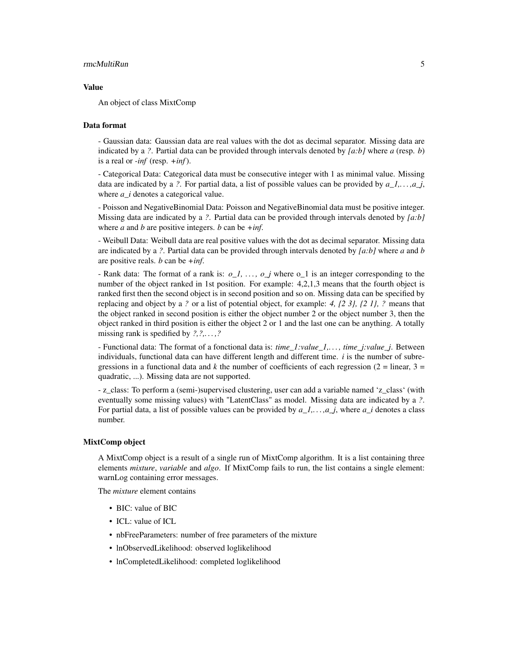#### rmcMultiRun 5

#### Value

An object of class MixtComp

#### Data format

- Gaussian data: Gaussian data are real values with the dot as decimal separator. Missing data are indicated by a *?*. Partial data can be provided through intervals denoted by *[a:b]* where *a* (resp. *b*) is a real or *-inf* (resp. *+inf*).

- Categorical Data: Categorical data must be consecutive integer with 1 as minimal value. Missing data are indicated by a *?*. For partial data, a list of possible values can be provided by  $a_1, \ldots, a_j$ , where *a i* denotes a categorical value.

- Poisson and NegativeBinomial Data: Poisson and NegativeBinomial data must be positive integer. Missing data are indicated by a *?*. Partial data can be provided through intervals denoted by *[a:b]* where *a* and *b* are positive integers. *b* can be *+inf*.

- Weibull Data: Weibull data are real positive values with the dot as decimal separator. Missing data are indicated by a *?*. Partial data can be provided through intervals denoted by *[a:b]* where *a* and *b* are positive reals. *b* can be *+inf*.

- Rank data: The format of a rank is: *o\_1, . . . , o\_j* where o\_1 is an integer corresponding to the number of the object ranked in 1st position. For example: 4,2,1,3 means that the fourth object is ranked first then the second object is in second position and so on. Missing data can be specified by replacing and object by a *?* or a list of potential object, for example: *4, {2 3}, {2 1}, ?* means that the object ranked in second position is either the object number 2 or the object number 3, then the object ranked in third position is either the object 2 or 1 and the last one can be anything. A totally missing rank is spedified by *?,?,. . . ,?*

- Functional data: The format of a fonctional data is: *time\_1:value\_1,. . . , time\_j:value\_j*. Between individuals, functional data can have different length and different time. *i* is the number of subregressions in a functional data and *k* the number of coefficients of each regression ( $2 =$  linear,  $3 =$ quadratic, ...). Missing data are not supported.

- z\_class: To perform a (semi-)supervised clustering, user can add a variable named 'z\_class' (with eventually some missing values) with "LatentClass" as model. Missing data are indicated by a *?*. For partial data, a list of possible values can be provided by *a\_1,. . . ,a\_j*, where *a\_i* denotes a class number.

#### MixtComp object

A MixtComp object is a result of a single run of MixtComp algorithm. It is a list containing three elements *mixture*, *variable* and *algo*. If MixtComp fails to run, the list contains a single element: warnLog containing error messages.

The *mixture* element contains

- BIC: value of BIC
- ICL: value of ICL
- nbFreeParameters: number of free parameters of the mixture
- lnObservedLikelihood: observed loglikelihood
- lnCompletedLikelihood: completed loglikelihood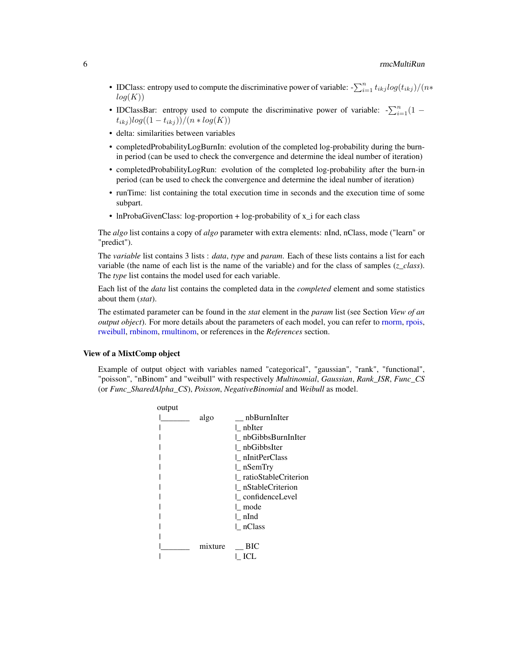- <span id="page-5-0"></span>• IDClass: entropy used to compute the discriminative power of variable:  $-\sum_{i=1}^{n} t_{ikj} log(t_{ikj})/(n*$  $log(K))$
- IDClassBar: entropy used to compute the discriminative power of variable:  $-\sum_{i=1}^{n}(1$  $t_{ikj}$ ) $log((1 - t_{ikj}))/(n * log(K))$
- delta: similarities between variables
- completedProbabilityLogBurnIn: evolution of the completed log-probability during the burnin period (can be used to check the convergence and determine the ideal number of iteration)
- completedProbabilityLogRun: evolution of the completed log-probability after the burn-in period (can be used to check the convergence and determine the ideal number of iteration)
- runTime: list containing the total execution time in seconds and the execution time of some subpart.
- InProbaGivenClass: log-proportion + log-probability of x<sub>i</sub> for each class

The *algo* list contains a copy of *algo* parameter with extra elements: nInd, nClass, mode ("learn" or "predict").

The *variable* list contains 3 lists : *data*, *type* and *param*. Each of these lists contains a list for each variable (the name of each list is the name of the variable) and for the class of samples (*z\_class*). The *type* list contains the model used for each variable.

Each list of the *data* list contains the completed data in the *completed* element and some statistics about them (*stat*).

The estimated parameter can be found in the *stat* element in the *param* list (see Section *View of an output object*). For more details about the parameters of each model, you can refer to [rnorm,](#page-0-0) [rpois,](#page-0-0) [rweibull,](#page-0-0) [rnbinom,](#page-0-0) [rmultinom,](#page-0-0) or references in the *References* section.

#### View of a MixtComp object

Example of output object with variables named "categorical", "gaussian", "rank", "functional", "poisson", "nBinom" and "weibull" with respectively *Multinomial*, *Gaussian*, *Rank\_ISR*, *Func\_CS* (or *Func\_SharedAlpha\_CS*), *Poisson*, *NegativeBinomial* and *Weibull* as model.

| output |         |                        |
|--------|---------|------------------------|
|        | algo    | nbBurnInIter           |
|        |         | nbIter                 |
|        |         | nbGibbsBurnInIter      |
|        |         | nbGibbsIter            |
|        |         | l nInitPerClass        |
|        |         | $\mathsf{l}\_$ nSemTry |
|        |         | ratioStableCriterion   |
|        |         | nStableCriterion       |
|        |         | confidenceLevel        |
|        |         | l mode                 |
|        |         | l nInd                 |
|        |         | nClass                 |
|        |         |                        |
|        | mixture | ВIС                    |
|        |         |                        |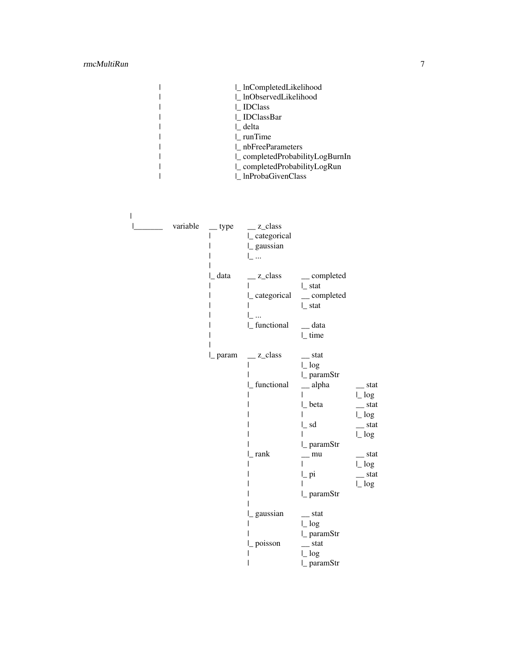### rmcMultiRun 7

|  | InCompletedLikelihood         |
|--|-------------------------------|
|  | lnObservedLikelihood          |
|  | IDClass                       |
|  | IDClassBar                    |
|  | delta                         |
|  | $\perp$ runTime               |
|  | nbFreeParameters              |
|  | completedProbabilityLogBurnIn |
|  | completedProbabilityLogRun    |
|  | InProbaGivenClass             |
|  |                               |

| variable | $_{\rm \_}$ type | $\angle$ z_class<br> _categorical<br> _ gaussian<br>l                    |                                                                                      |                                                          |
|----------|------------------|--------------------------------------------------------------------------|--------------------------------------------------------------------------------------|----------------------------------------------------------|
|          | data             | $\angle$ z_class<br>$\lfloor$ categorical<br>$\dddotsc$<br> _ functional | $\_\_$ completed<br>  stat<br>$\equiv$ completed<br>$\lfloor$ stat<br>data<br>  time |                                                          |
|          |                  | $\lvert$ param $\lvert$ z_class                                          | $_{\text{1}}$ stat<br>$\lfloor \log$                                                 |                                                          |
|          |                  | [_functional                                                             | ∟ paramStr<br>$\equiv$ alpha                                                         | $_{\rm{1}}$ stat<br>$\lfloor \log \rfloor$               |
|          |                  |                                                                          | ∟ beta<br>$\mathsf{L}$ sd                                                            | $_{\text{1}}$ stat<br>$\lfloor \log$<br>$_{\text{stat}}$ |
|          |                  | rank                                                                     | l_paramStr<br>mu                                                                     | $\lfloor \log \frac{1}{2} \rfloor$<br>$_{\rm{1}}$ stat   |
|          |                  |                                                                          | $\mathsf{L}$ pi                                                                      | $\lfloor \log$<br>$_{\text{stat}}$                       |
|          |                  |                                                                          | $\mathsf{l}\_$ paramStr                                                              | $\lfloor \log$                                           |
|          |                  | gaussian                                                                 | $_{\text{stat}}$<br>$\lfloor \log$<br>$\mathsf{l}_$ paramStr                         |                                                          |
|          |                  | L poisson                                                                | $-$ stat<br>$\lfloor \log$<br>$\mathsf{l}\_$ paramStr                                |                                                          |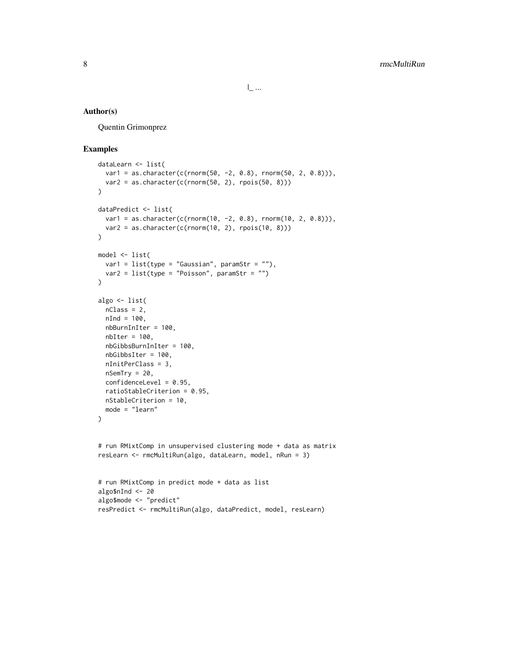#### Author(s)

Quentin Grimonprez

#### Examples

```
dataLearn <- list(
  var1 = as.character(c(rnorm(50, -2, 0.8), rnorm(50, 2, 0.8))),
  var2 = as.character(c(rnorm(50, 2), rpois(50, 8)))
\lambdadataPredict <- list(
  var1 = as.character(c(rnorm(10, -2, 0.8), rnorm(10, 2, 0.8))),
  var2 = as.character(c(rnorm(10, 2), rpois(10, 8)))
\lambdamodel <- list(
 var1 = list(type = "Gaussian", paramStr = "",var2 = list(type = "Poisson", paramStr = "")\lambdaalgo <- list(
 nClass = 2,
  nInd = 100,
  nbBurnInIter = 100,
  nbIter = 100,nbGibbsBurnInIter = 100,
  nbGibbsIter = 100,
  nInitPerClass = 3,
  nSemTry = 20,
  confidenceLevel = 0.95,
  ratioStableCriterion = 0.95,
  nStableCriterion = 10,
 mode = "learn"
\mathcal{L}# run RMixtComp in unsupervised clustering mode + data as matrix
resLearn <- rmcMultiRun(algo, dataLearn, model, nRun = 3)
# run RMixtComp in predict mode + data as list
algo$nInd <- 20
algo$mode <- "predict"
resPredict <- rmcMultiRun(algo, dataPredict, model, resLearn)
```